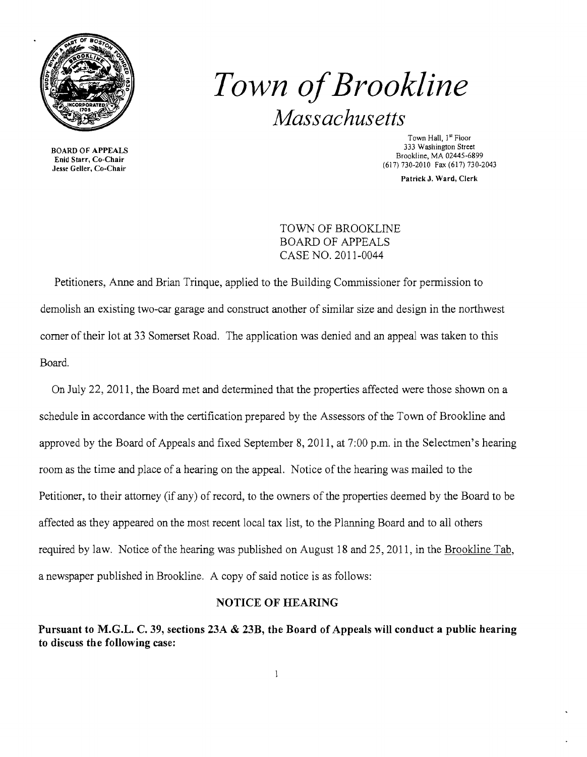

# *Town ofBrookline Massachusetts*

Town Hall, <sup>J"</sup> Floor<br>333 Washington Street BOARD OF APPEALS<br>
Enid Starr, Co-Chair<br>
Jesse Geller, Co-Chair<br>
1333 Washington Street<br>
Brookline, MA 02445-6899<br>
Iesse Geller, Co-Chair<br>
(617) 730-2010 Fax (617) 730-2 (617) 730-2010 Fax (617) 730-2043

Patrick J. Ward, Clerk

TOWN OF BROOKLINE BOARD OF APPEALS CASE NO. 2011-0044

Petitioners, Anne and Brian Trinque, applied to the Building Commissioner for permission to demolish an existing two-car garage and construct another of similar size and design in the northwest comer oftheir lot at 33 Somerset Road. The application was denied and an appeal was taken to this Board.

On July 22, 2011, the Board met and determined that the properties affected were those shown on a schedule in accordance with the certification prepared by the Assessors of the Town of Brookline and approved by the Board of Appeals and fixed September 8, 2011, at 7:00 p.m. in the Selectmen's hearing room as the time and place of a hearing on the appeal. Notice of the hearing was mailed to the Petitioner, to their attorney (if any) of record, to the owners of the properties deemed by the Board to be affected as they appeared on the most recent local tax list, to the Planning Board and to all others required by law. Notice of the hearing was published on August 18 and 25, 2011, in the Brookline Tab, a newspaper published in Brookline. A copy of said notice is as follows:

### NOTICE OF HEARING

Pursuant to M.G.L. C. 39, sections 23A & 23B, the Board of Appeals will conduct a public hearing to discuss the following case: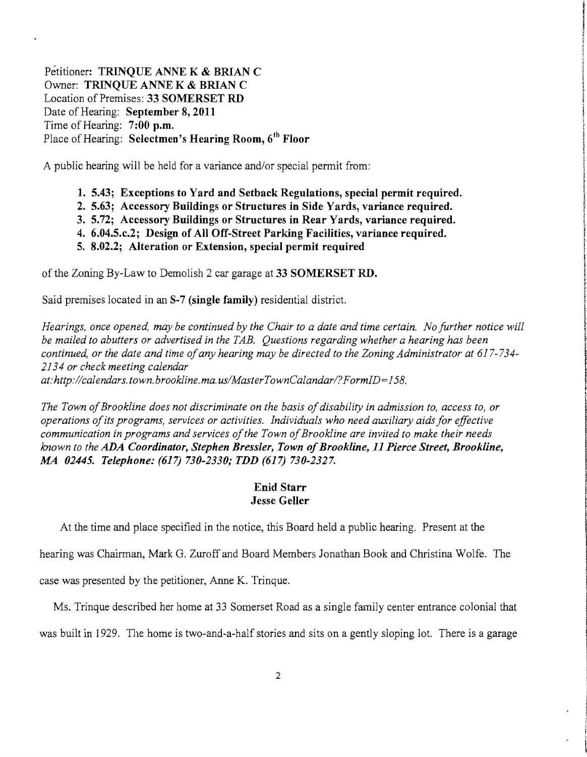Petitioner: TRINQUE ANNE K & BRIAN C Owner: TRINQUE ANNE K & BRIAN C Location of Premises: 33 SOMERSET RD Date of Hearing: September 8, 2011 Time of Hearing: 7:00 p.m. Place of Hearing: Selectmen's Hearing Room, 6<sup>th</sup> Floor

A public hearing will be held for a variance and/or special permit from:

- 1. 5.43; Exceptions to Yard and Setback Regulations, special permit required.
- 2. 5.63; Accessory Buildings or Structures in Side Yards, variance required.
- 3. 5.72; Accessory Buildings or Structures in Rear Yards, variance required.
- 4. 6.04.5.c.2; Design of All Off-Street Parking Facilities, variance required.
- 5. 8.02.2; Alteration or Extension, special permit required

of the Zoning By-Law to Demolish 2 car garage at 33 SOMERSET RD.

Said premises located in an 8-7 (single family) residential district.

*Hearings, once opened, may be continued by the Chair to a date and time certain. No further notice will be mailed to abutters or advertised in the TAB. Questions regarding whether a hearing has been continued, or the date and time ofany hearing may be directed to the Zoning Administrator at 617-734 2134 or check meeting calendar at:http://calendars.town.brookline.ma.usIMasterTownCalandarl?FormID=158.* 

The Town of Brookline does not discriminate on the basis of disability in admission to, access to, or *operations ofits programs, services or activities. Individuals who need auxiliary aids for effective communication in programs and services ofthe Town ofBrookline are invited to make their needs known to the ADA Coordinator, Stephen Bressler, Town ofBrookline,* 11 *Pierce Street, Brookline, MA 02445. Telephone:* (617) *730-2330; TDD* (617) *730-2327.* 

## Enid Starr Jesse Geller

At the time and place specified in the notice, this Board held a public hearing. Present at the

hearing was Chairman, Mark G. Zuroff and Board Members Jonathan Book and Christina Wolfe. The

case was presented by the petitioner, Anne K. Trinque.

Ms. Trinque described her home at 33 Somerset Road as a single family center entrance colonial that

was built in 1929. The home is two-and-a-half stories and sits on a gently sloping lot. There is a garage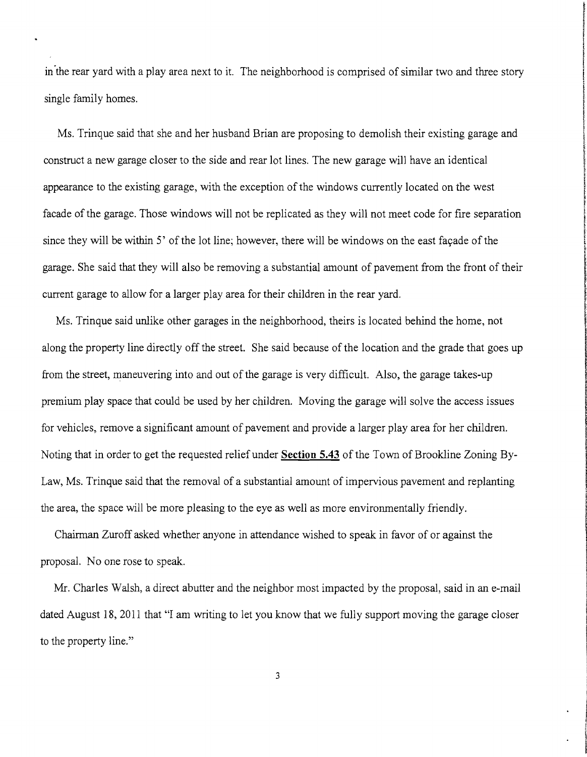in"the rear yard with a play area next to it. The neighborhood is comprised of similar two and three story single family homes.

i

t *<i>CASHING* 

in the contract of the contract of the contract of the contract of the contract of the contract of the contract of the contract of the contract of the contract of the contract of the contract of the contract of the contrac

**The Content State** 

t in successfully and l

l

**Information of the Content of Section** 

*Delawation Characterized Science* 

**the complete complete** 

**INTERNATIONAL CONTRACTOR** f **International** 

Ms. Trinque said that she and her husband Brian are proposing to demolish their existing garage and construct a new garage closer to the side and rear lot lines. The new garage will have an identical appearance to the existing garage, with the exception of the windows currently located on the west facade of the garage. Those windows will not be replicated as they will not meet code for fire separation since they will be within 5' of the lot line; however, there will be windows on the east façade of the garage. She said that they will also be removing a substantial amount of pavement from the front of their current garage to allow for a larger play area for their children in the rear yard.

Ms. Trinque said unlike other garages in the neighborhood, theirs is located behind the home, not along the property line directly off the street. She said because of the location and the grade that goes up from the street, maneuvering into and out of the garage is very difficult. Also, the garage takes-up premium play space that could be used by her children. Moving the garage will solve the access issues for vehicles, remove a significant amount of pavement and provide a larger play area for her children. Noting that in order to get the requested relief under **Section 5.43** of the Town of Brookline Zoning By-Law, Ms. Trinque said that the removal of a substantial amount of impervious pavement and replanting the area, the space will be more pleasing to the eye as well as more environmentally friendly.

Chairman Zuroff asked whether anyone in attendance wished to speak in favor of or against the proposal. No one rose to speak.

Mr. Charles Walsh, a direct abutter and the neighbor most impacted by the proposal, said in an e-mail dated August 18, 2011 that "I am writing to let you know that we fully support moving the garage closer to the property line."

3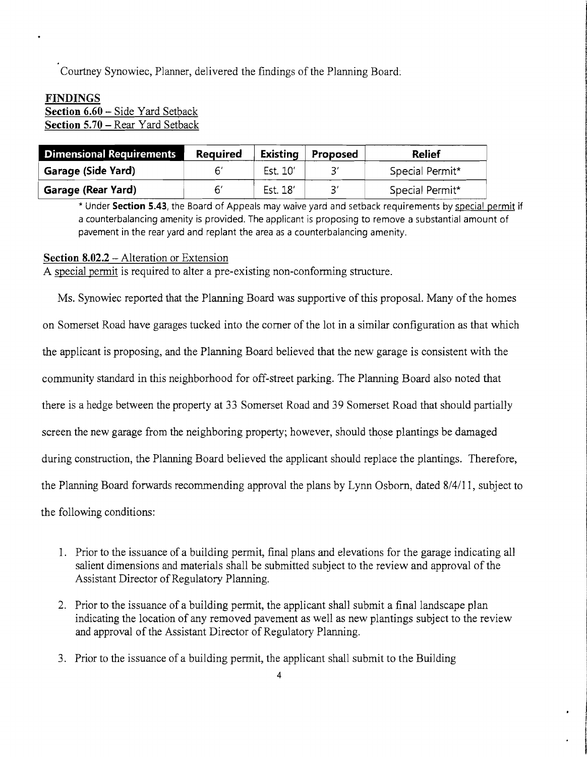Courtney Synowiec, Planner, delivered the findings of the Planning Board:

## **FINDINGS**

**Section 6.60** - Side Yard Setback **Section 5.70 -** Rear Yard Setback

| <b>Dimensional Requirements</b> | <b>Required</b> | Existing | Proposed | <b>Relief</b>   |
|---------------------------------|-----------------|----------|----------|-----------------|
| Garage (Side Yard)              |                 | Est. 10' |          | Special Permit* |
| Garage (Rear Yard)              |                 | Est. 18' | ?′       | Special Permit* |

\* Under **Section 5.43,** the Board of Appeals may waive yard and setback requirements by special permit if a counterbalancing amenity is provided. The applicant is proposing to remove a substantial amount of pavement in the rear yard and replant the area as a counterbalancing amenity.

#### **Section 8.02.2** - Alteration or Extension

A special permit is required to alter a pre-existing non-conforming structure.

Ms. Synowiec reported that the Planning Board was supportive of this proposal. Many of the homes on Somerset Road have garages tucked into the corner of the lot in a similar configuration as that which the applicant is proposing, and the Planning Board believed that the new garage is consistent with the community standard **in** this neighborhood for off-street parking. The Planning Board also noted that there is a hedge between the property at 33 Somerset Road and 39 Somerset Road that should partially screen the new garage from the neighboring property; however, should those plantings be damaged during construction, the Planning Board believed the applicant should replace the plantings. Therefore, the Planning Board forwards recommending approval the plans by Lynn Osborn, dated 8/4/11, subject to the following conditions:

- 1. Prior to the issuance of a building permit, final plans and elevations for the garage indicating all salient dimensions and materials shall be submitted subject to the review and approval of the Assistant Director of Regulatory Planning.
- 2. Prior to the issuance of a building permit, the applicant shall submit a final landscape plan indicating the location of any removed pavement as well as new plantings subject to the review and approval of the Assistant Director of Regulatory Planning.
- 3. Prior to the issuance of a building permit, the applicant shall submit to the Building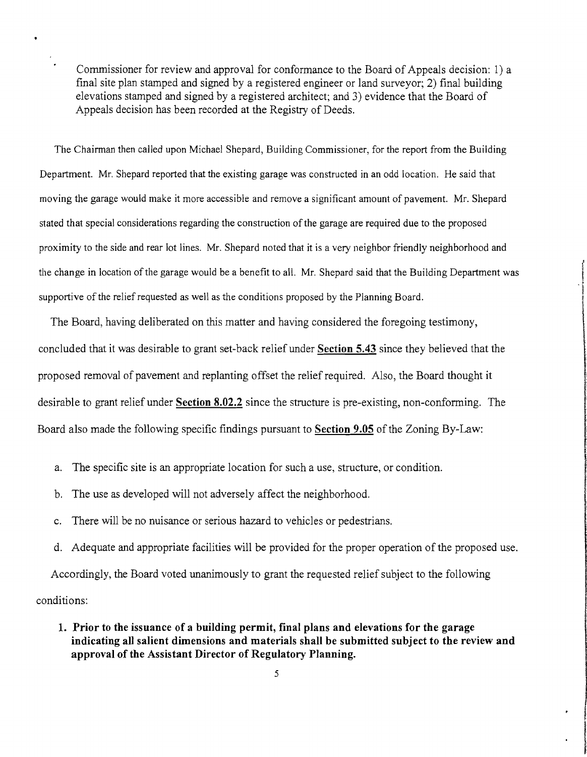Commissioner for review and approval for conformance to the Board of Appeals decision: 1) a final site plan stamped and signed by a registered engineer or land surveyor; 2) final building elevations stamped and signed by a registered architect; and 3) evidence that the Board of Appeals decision has been recorded at the Registry of Deeds.

The Chairman then called upon Michael Shepard, Building Commissioner, for the report from the Building Department. Mr. Shepard reported that the existing garage was constructed in an odd location. He said that moving the garage would make it more accessible and remove a significant amount of pavement. Mr. Shepard stated that special considerations regarding the construction of the garage are required due to the proposed proximity to the side and rear lot lines. Mr. Shepard noted that it is a very neighbor friendly neighborhood and the change in location of the garage would be a benefit to all. Mr. Shepard said that the Building Department was supportive of the relief requested as well as the conditions proposed by the Planning Board.

l

I programmer **IMM** [

.

The Board, having deliberated on this matter and having considered the foregoing testimony, concluded that it was desirable to grant set-back relief under **Section 5.43** since they believed that the proposed removal of pavement and replanting offset the relief required. Also, the Board thought it desirable to grant relief under **Section 8.02.2** since the structure is pre-existing, non-conforming. The Board also made the following specific findings pursuant to **Section 9.05** of the Zoning By-Law:

- a. The specific site is an appropriate location for such a use, structure, or condition.
- b. The use as developed will not adversely affect the neighborhood.
- c. There will be no nuisance or serious hazard to vehicles or pedestrians.
- d. Adequate and appropriate facilities will be provided for the proper operation of the proposed use.

Accordingly, the Board voted unanimously to grant the requested relief subject to the following conditions:

**1. Prior to the issuance of a building permit, final plans and elevations for the garage indicating all salient dimensions and materials shall be submitted subject to the review and approval of the Assistant Director of Regulatory Planning.** 

5